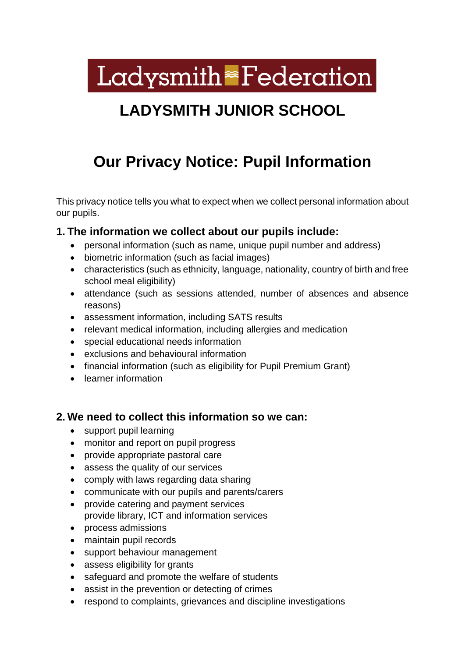Ladysmith<sup>®</sup>Federation

# **LADYSMITH JUNIOR SCHOOL**

# **Our Privacy Notice: Pupil Information**

This privacy notice tells you what to expect when we collect personal information about our pupils.

#### **1. The information we collect about our pupils include:**

- personal information (such as name, unique pupil number and address)
- biometric information (such as facial images)
- characteristics (such as ethnicity, language, nationality, country of birth and free school meal eligibility)
- attendance (such as sessions attended, number of absences and absence reasons)
- assessment information, including SATS results
- relevant medical information, including allergies and medication
- special educational needs information
- exclusions and behavioural information
- financial information (such as eligibility for Pupil Premium Grant)
- learner information

## **2. We need to collect this information so we can:**

- support pupil learning
- monitor and report on pupil progress
- provide appropriate pastoral care
- assess the quality of our services
- comply with laws regarding data sharing
- communicate with our pupils and parents/carers
- provide catering and payment services provide library, ICT and information services
- process admissions
- maintain pupil records
- support behaviour management
- assess eligibility for grants
- safeguard and promote the welfare of students
- assist in the prevention or detecting of crimes
- respond to complaints, grievances and discipline investigations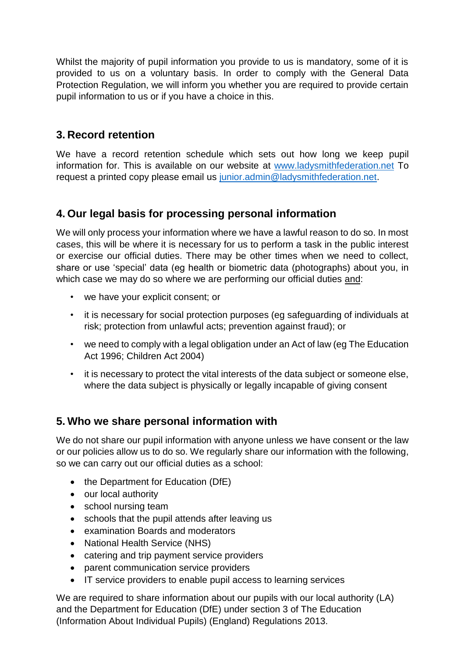Whilst the majority of pupil information you provide to us is mandatory, some of it is provided to us on a voluntary basis. In order to comply with the General Data Protection Regulation, we will inform you whether you are required to provide certain pupil information to us or if you have a choice in this.

# **3. Record retention**

We have a record retention schedule which sets out how long we keep pupil information for. This is available on our website at [www.ladysmithfederation.net](http://www.ladysmithfederation.net/) To request a printed copy please email us [junior.admin@ladysmithfederation.net.](mailto:junior.admin@ladysmithfederation.net)

## **4. Our legal basis for processing personal information**

We will only process your information where we have a lawful reason to do so. In most cases, this will be where it is necessary for us to perform a task in the public interest or exercise our official duties. There may be other times when we need to collect, share or use 'special' data (eg health or biometric data (photographs) about you, in which case we may do so where we are performing our official duties and:

- we have your explicit consent; or
- it is necessary for social protection purposes (eg safeguarding of individuals at risk; protection from unlawful acts; prevention against fraud); or
- we need to comply with a legal obligation under an Act of law (eg The Education Act 1996; Children Act 2004)
- it is necessary to protect the vital interests of the data subject or someone else, where the data subject is physically or legally incapable of giving consent

## **5. Who we share personal information with**

We do not share our pupil information with anyone unless we have consent or the law or our policies allow us to do so. We regularly share our information with the following, so we can carry out our official duties as a school:

- the Department for Education (DfE)
- our local authority
- school nursing team
- schools that the pupil attends after leaving us
- examination Boards and moderators
- National Health Service (NHS)
- catering and trip payment service providers
- parent communication service providers
- IT service providers to enable pupil access to learning services

We are required to share information about our pupils with our local authority (LA) and the Department for Education (DfE) under section 3 of The Education (Information About Individual Pupils) (England) Regulations 2013.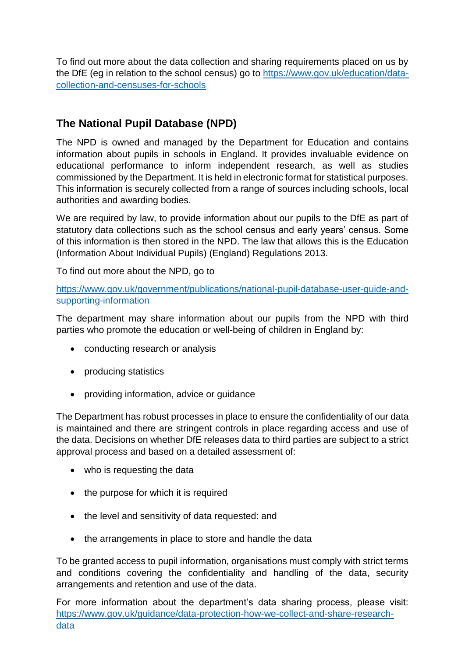To find out more about the data collection and sharing requirements placed on us by the DfE (eg in relation to the school census) go to [https://www.gov.uk/education/data](https://www.gov.uk/education/data-collection-and-censuses-for-schools)[collection-and-censuses-for-schools](https://www.gov.uk/education/data-collection-and-censuses-for-schools)

# **The National Pupil Database (NPD)**

The NPD is owned and managed by the Department for Education and contains information about pupils in schools in England. It provides invaluable evidence on educational performance to inform independent research, as well as studies commissioned by the Department. It is held in electronic format for statistical purposes. This information is securely collected from a range of sources including schools, local authorities and awarding bodies.

We are required by law, to provide information about our pupils to the DfE as part of statutory data collections such as the school census and early years' census. Some of this information is then stored in the NPD. The law that allows this is the Education (Information About Individual Pupils) (England) Regulations 2013.

To find out more about the NPD, go to

[https://www.gov.uk/government/publications/national-pupil-database-user-guide-and](https://www.gov.uk/government/publications/national-pupil-database-user-guide-and-supporting-information)[supporting-information](https://www.gov.uk/government/publications/national-pupil-database-user-guide-and-supporting-information)

The department may share information about our pupils from the NPD with third parties who promote the education or well-being of children in England by:

- conducting research or analysis
- producing statistics
- providing information, advice or guidance

The Department has robust processes in place to ensure the confidentiality of our data is maintained and there are stringent controls in place regarding access and use of the data. Decisions on whether DfE releases data to third parties are subject to a strict approval process and based on a detailed assessment of:

- who is requesting the data
- the purpose for which it is required
- the level and sensitivity of data requested: and
- the arrangements in place to store and handle the data

To be granted access to pupil information, organisations must comply with strict terms and conditions covering the confidentiality and handling of the data, security arrangements and retention and use of the data.

For more information about the department's data sharing process, please visit: [https://www.gov.uk/guidance/data-protection-how-we-collect-and-share-research](https://www.gov.uk/guidance/data-protection-how-we-collect-and-share-research-data)[data](https://www.gov.uk/guidance/data-protection-how-we-collect-and-share-research-data)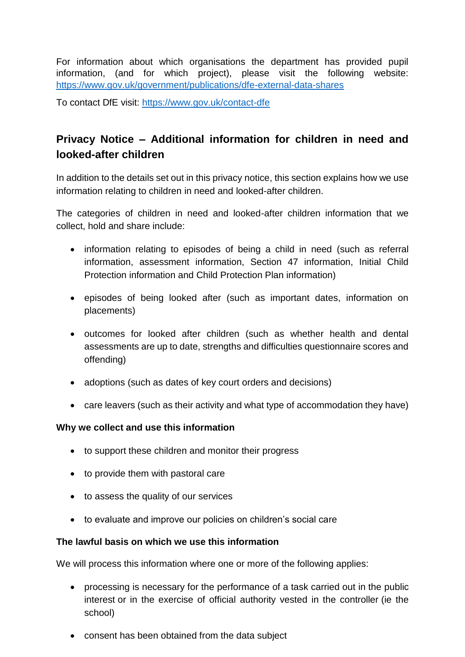For information about which organisations the department has provided pupil information, (and for which project), please visit the following website: <https://www.gov.uk/government/publications/dfe-external-data-shares>

To contact DfE visit:<https://www.gov.uk/contact-dfe>

# **Privacy Notice – Additional information for children in need and looked-after children**

In addition to the details set out in this privacy notice, this section explains how we use information relating to children in need and looked-after children.

The categories of children in need and looked-after children information that we collect, hold and share include:

- information relating to episodes of being a child in need (such as referral information, assessment information, Section 47 information, Initial Child Protection information and Child Protection Plan information)
- episodes of being looked after (such as important dates, information on placements)
- outcomes for looked after children (such as whether health and dental assessments are up to date, strengths and difficulties questionnaire scores and offending)
- adoptions (such as dates of key court orders and decisions)
- care leavers (such as their activity and what type of accommodation they have)

#### **Why we collect and use this information**

- to support these children and monitor their progress
- to provide them with pastoral care
- to assess the quality of our services
- to evaluate and improve our policies on children's social care

#### **The lawful basis on which we use this information**

We will process this information where one or more of the following applies:

- processing is necessary for the performance of a task carried out in the public interest or in the exercise of official authority vested in the controller (ie the school)
- consent has been obtained from the data subject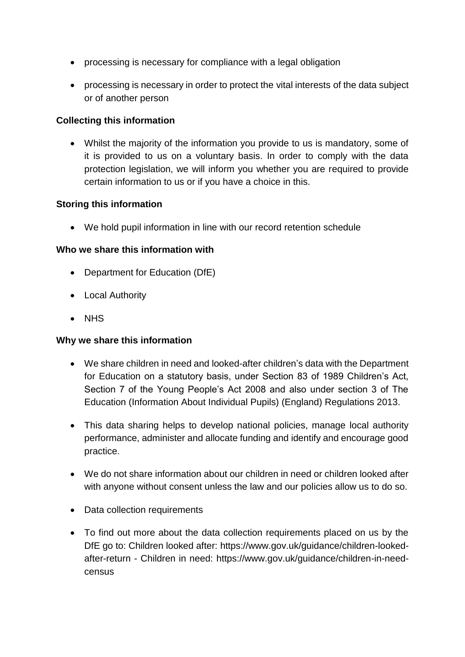- processing is necessary for compliance with a legal obligation
- processing is necessary in order to protect the vital interests of the data subject or of another person

#### **Collecting this information**

 Whilst the majority of the information you provide to us is mandatory, some of it is provided to us on a voluntary basis. In order to comply with the data protection legislation, we will inform you whether you are required to provide certain information to us or if you have a choice in this.

#### **Storing this information**

We hold pupil information in line with our record retention schedule

#### **Who we share this information with**

- Department for Education (DfE)
- Local Authority
- NHS

#### **Why we share this information**

- We share children in need and looked-after children's data with the Department for Education on a statutory basis, under Section 83 of 1989 Children's Act, Section 7 of the Young People's Act 2008 and also under section 3 of The Education (Information About Individual Pupils) (England) Regulations 2013.
- This data sharing helps to develop national policies, manage local authority performance, administer and allocate funding and identify and encourage good practice.
- We do not share information about our children in need or children looked after with anyone without consent unless the law and our policies allow us to do so.
- Data collection requirements
- To find out more about the data collection requirements placed on us by the DfE go to: Children looked after: [https://www.gov.uk/guidance/children-looked](https://www.gov.uk/guidance/children-looked-after-return)[after-return](https://www.gov.uk/guidance/children-looked-after-return) - Children in need: [https://www.gov.uk/guidance/children-in-need](https://www.gov.uk/guidance/children-in-need-census)[census](https://www.gov.uk/guidance/children-in-need-census)